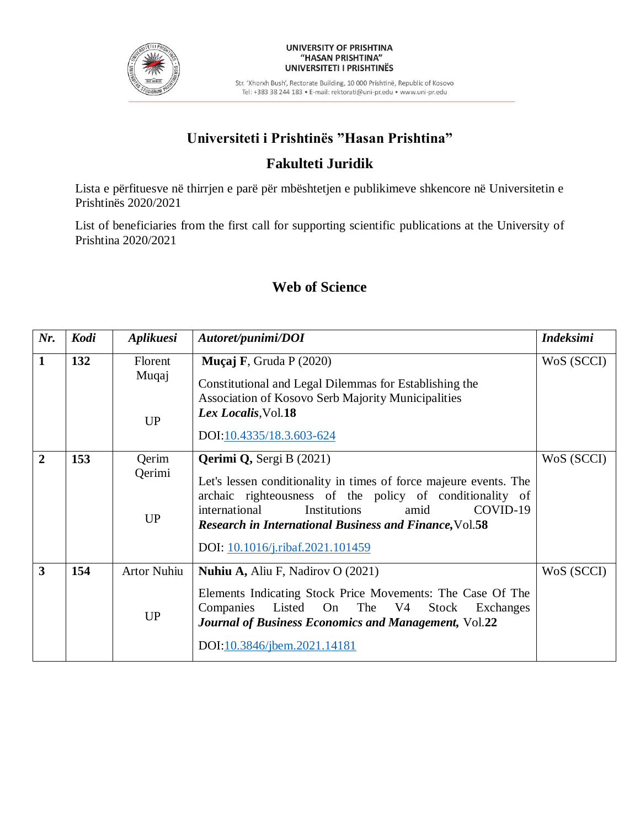

#### UNIVERSITY OF PRISHTINA "HASAN PRISHTINA" UNIVERSITETI I PRISHTINËS

Str. 'Xhorxh Bush', Rectorate Building, 10 000 Prishtinë, Republic of Kosovo Tel: +383 38 244 183 · E-mail: rektorati@uni-pr.edu · www.uni-pr.edu

# **Universiteti i Prishtinës "Hasan Prishtina"**

### **Fakulteti Juridik**

Lista e përfituesve në thirrjen e parë për mbështetjen e publikimeve shkencore në Universitetin e Prishtinës 2020/2021

List of beneficiaries from the first call for supporting scientific publications at the University of Prishtina 2020/2021

### **Web of Science**

| Nr.                     | Kodi | Aplikuesi                       | Autoret/punimi/DOI                                                                                                                                                                                                                                                                                                         | <b>Indeksimi</b> |
|-------------------------|------|---------------------------------|----------------------------------------------------------------------------------------------------------------------------------------------------------------------------------------------------------------------------------------------------------------------------------------------------------------------------|------------------|
| $\mathbf{1}$            | 132  | Florent<br>Muqaj<br><b>UP</b>   | <b>Muçaj F</b> , Gruda P $(2020)$<br>Constitutional and Legal Dilemmas for Establishing the<br>Association of Kosovo Serb Majority Municipalities<br>Lex Localis, Vol.18<br>DOI:10.4335/18.3.603-624                                                                                                                       | WoS (SCCI)       |
| $\overline{2}$          | 153  | Qerim<br>Qerimi<br>UP           | <b>Qerimi Q, Sergi B (2021)</b><br>Let's lessen conditionality in times of force majeure events. The<br>archaic righteousness of the policy of conditionality of<br>COVID-19<br>international<br>Institutions<br>amid<br><b>Research in International Business and Finance, Vol.58</b><br>DOI: 10.1016/j.ribaf.2021.101459 | WoS (SCCI)       |
| $\overline{\mathbf{3}}$ | 154  | <b>Artor Nuhiu</b><br><b>UP</b> | <b>Nuhiu A, Aliu F, Nadirov O (2021)</b><br>Elements Indicating Stock Price Movements: The Case Of The<br>Listed On The V4<br>Companies<br>Stock Exchanges<br><b>Journal of Business Economics and Management, Vol.22</b><br>DOI:10.3846/jbem.2021.14181                                                                   | WoS (SCCI)       |